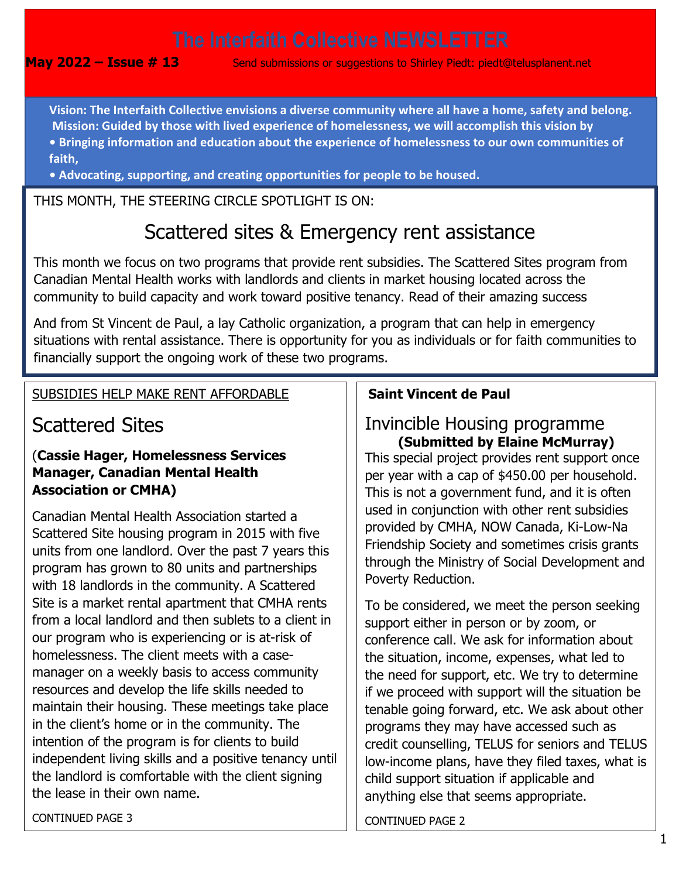**May 2022 – Issue # 13** Send submissions or suggestions to Shirley Piedt: piedt@telusplanent.net

0 **Vision: The Interfaith Collective envisions a diverse community where all have a home, safety and belong. Mission: Guided by those with lived experience of homelessness, we will accomplish this vision by • Bringing information and education about the experience of homelessness to our own communities of faith,** 

**• Advocating, supporting, and creating opportunities for people to be housed.**

THIS MONTH, THE STEERING CIRCLE SPOTLIGHT IS ON:

# Scattered sites & Emergency rent assistance

This month we focus on two programs that provide rent subsidies. The Scattered Sites program from Canadian Mental Health works with landlords and clients in market housing located across the community to build capacity and work toward positive tenancy. Read of their amazing success

And from St Vincent de Paul, a lay Catholic organization, a program that can help in emergency situations with rental assistance. There is opportunity for you as individuals or for faith communities to financially support the ongoing work of these two programs.

# SUBSIDIES HELP MAKE RENT AFFORDABLE

# Scattered Sites

# (**Cassie Hager, Homelessness Services Manager, Canadian Mental Health Association or CMHA)**

Canadian Mental Health Association started a Scattered Site housing program in 2015 with five units from one landlord. Over the past 7 years this program has grown to 80 units and partnerships with 18 landlords in the community. A Scattered Site is a market rental apartment that CMHA rents from a local landlord and then sublets to a client in our program who is experiencing or is at-risk of homelessness. The client meets with a casemanager on a weekly basis to access community resources and develop the life skills needed to maintain their housing. These meetings take place in the client's home or in the community. The intention of the program is for clients to build independent living skills and a positive tenancy until the landlord is comfortable with the client signing the lease in their own name.

# **Saint Vincent de Paul**

# Invincible Housing programme **(Submitted by Elaine McMurray)**

This special project provides rent support once per year with a cap of \$450.00 per household. This is not a government fund, and it is often used in conjunction with other rent subsidies provided by CMHA, NOW Canada, Ki-Low-Na Friendship Society and sometimes crisis grants through the Ministry of Social Development and Poverty Reduction.

To be considered, we meet the person seeking support either in person or by zoom, or conference call. We ask for information about the situation, income, expenses, what led to the need for support, etc. We try to determine if we proceed with support will the situation be tenable going forward, etc. We ask about other programs they may have accessed such as credit counselling, TELUS for seniors and TELUS low-income plans, have they filed taxes, what is child support situation if applicable and anything else that seems appropriate.

CONTINUED PAGE 2

CONTINUED PAGE 3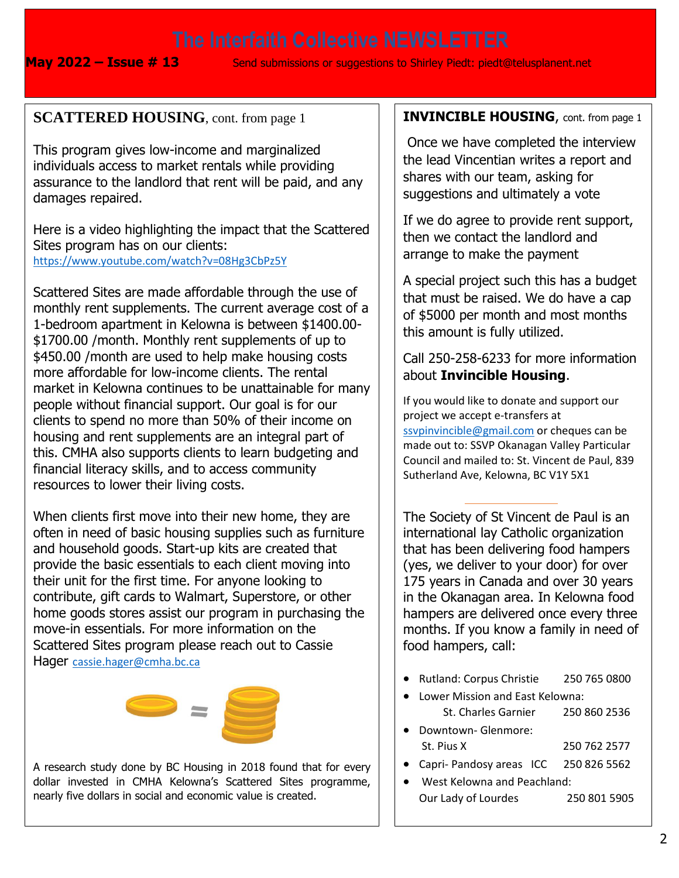**May 2022 – Issue # 13** Send submissions or suggestions to Shirley Piedt: piedt@telusplanent.net

# **SCATTERED HOUSING**, cont. from page 1

This program gives low-income and marginalized individuals access to market rentals while providing assurance to the landlord that rent will be paid, and any damages repaired.

Here is a video highlighting the impact that the Scattered Sites program has on our clients: <https://www.youtube.com/watch?v=08Hg3CbPz5Y>

Scattered Sites are made affordable through the use of monthly rent supplements. The current average cost of a 1-bedroom apartment in Kelowna is between \$1400.00- \$1700.00 /month. Monthly rent supplements of up to \$450.00 /month are used to help make housing costs more affordable for low-income clients. The rental market in Kelowna continues to be unattainable for many people without financial support. Our goal is for our clients to spend no more than 50% of their income on housing and rent supplements are an integral part of this. CMHA also supports clients to learn budgeting and financial literacy skills, and to access community resources to lower their living costs.

When clients first move into their new home, they are often in need of basic housing supplies such as furniture and household goods. Start-up kits are created that provide the basic essentials to each client moving into their unit for the first time. For anyone looking to contribute, gift cards to Walmart, Superstore, or other home goods stores assist our program in purchasing the move-in essentials. For more information on the Scattered Sites program please reach out to Cassie Hager [cassie.hager@cmha.bc.ca](mailto:cassie.hager@cmha.bc.ca)



A research study done by BC Housing in 2018 found that for every dollar invested in CMHA Kelowna's Scattered Sites programme, nearly five dollars in social and economic value is created.

### **INVINCIBLE HOUSING**, cont. from page 1

Once we have completed the interview the lead Vincentian writes a report and shares with our team, asking for suggestions and ultimately a vote

If we do agree to provide rent support, then we contact the landlord and arrange to make the payment

A special project such this has a budget that must be raised. We do have a cap of \$5000 per month and most months this amount is fully utilized.

### Call 250-258-6233 for more information about **Invincible Housing**.

If you would like to donate and support our project we accept e-transfers at [ssvpinvincible@gmail.com](mailto:ssvpinvincible@gmail.com) or cheques can be made out to: SSVP Okanagan Valley Particular Council and mailed to: St. Vincent de Paul, 839 Sutherland Ave, Kelowna, BC V1Y 5X1

The Society of St Vincent de Paul is an international lay Catholic organization that has been delivering food hampers (yes, we deliver to your door) for over 175 years in Canada and over 30 years in the Okanagan area. In Kelowna food hampers are delivered once every three months. If you know a family in need of food hampers, call:

- Rutland: Corpus Christie 250 765 0800
- Lower Mission and East Kelowna: St. Charles Garnier 250 860 2536 • Downtown- Glenmore:
	- St. Pius X 250 762 2577

**. . .**

- Capri- Pandosy areas ICC 250 826 5562
- West Kelowna and Peachland: Our Lady of Lourdes 250 801 5905